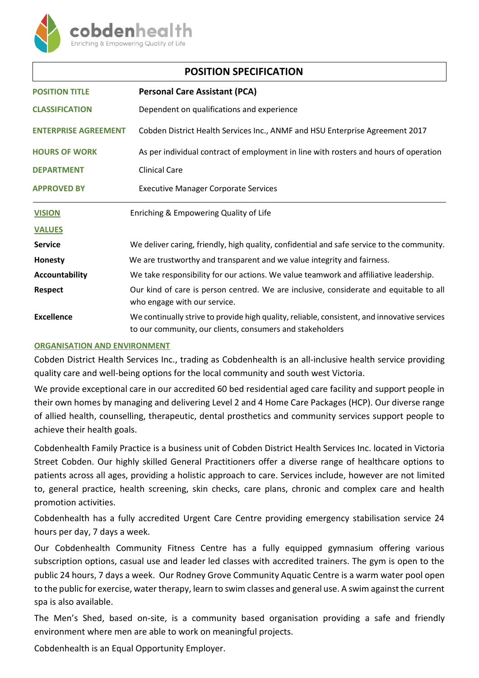

| <b>POSITION SPECIFICATION</b> |                                                                                                                                                           |
|-------------------------------|-----------------------------------------------------------------------------------------------------------------------------------------------------------|
| <b>POSITION TITLE</b>         | <b>Personal Care Assistant (PCA)</b>                                                                                                                      |
| <b>CLASSIFICATION</b>         | Dependent on qualifications and experience                                                                                                                |
| <b>ENTERPRISE AGREEMENT</b>   | Cobden District Health Services Inc., ANMF and HSU Enterprise Agreement 2017                                                                              |
| <b>HOURS OF WORK</b>          | As per individual contract of employment in line with rosters and hours of operation                                                                      |
| <b>DEPARTMENT</b>             | <b>Clinical Care</b>                                                                                                                                      |
| <b>APPROVED BY</b>            | <b>Executive Manager Corporate Services</b>                                                                                                               |
| <b>VISION</b>                 | Enriching & Empowering Quality of Life                                                                                                                    |
| <b>VALUES</b>                 |                                                                                                                                                           |
| <b>Service</b>                | We deliver caring, friendly, high quality, confidential and safe service to the community.                                                                |
| Honesty                       | We are trustworthy and transparent and we value integrity and fairness.                                                                                   |
| Accountability                | We take responsibility for our actions. We value teamwork and affiliative leadership.                                                                     |
| <b>Respect</b>                | Our kind of care is person centred. We are inclusive, considerate and equitable to all<br>who engage with our service.                                    |
| Excellence                    | We continually strive to provide high quality, reliable, consistent, and innovative services<br>to our community, our clients, consumers and stakeholders |

## **ORGANISATION AND ENVIRONMENT**

Cobden District Health Services Inc., trading as Cobdenhealth is an all-inclusive health service providing quality care and well-being options for the local community and south west Victoria.

We provide exceptional care in our accredited 60 bed residential aged care facility and support people in their own homes by managing and delivering Level 2 and 4 Home Care Packages (HCP). Our diverse range of allied health, counselling, therapeutic, dental prosthetics and community services support people to achieve their health goals.

Cobdenhealth Family Practice is a business unit of Cobden District Health Services Inc. located in Victoria Street Cobden. Our highly skilled General Practitioners offer a diverse range of healthcare options to patients across all ages, providing a holistic approach to care. Services include, however are not limited to, general practice, health screening, skin checks, care plans, chronic and complex care and health promotion activities.

Cobdenhealth has a fully accredited Urgent Care Centre providing emergency stabilisation service 24 hours per day, 7 days a week.

Our Cobdenhealth Community Fitness Centre has a fully equipped gymnasium offering various subscription options, casual use and leader led classes with accredited trainers. The gym is open to the public 24 hours, 7 days a week. Our Rodney Grove Community Aquatic Centre is a warm water pool open to the public for exercise, water therapy, learn to swim classes and general use. A swim against the current spa is also available.

The Men's Shed, based on-site, is a community based organisation providing a safe and friendly environment where men are able to work on meaningful projects.

Cobdenhealth is an Equal Opportunity Employer.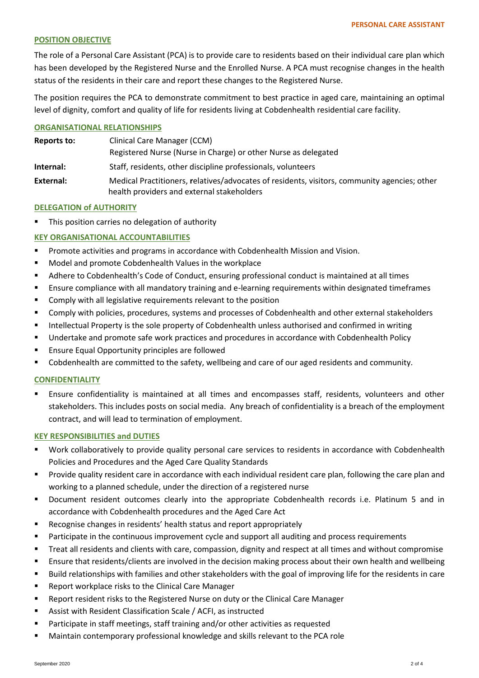## **POSITION OBJECTIVE**

The role of a Personal Care Assistant (PCA) is to provide care to residents based on their individual care plan which has been developed by the Registered Nurse and the Enrolled Nurse. A PCA must recognise changes in the health status of the residents in their care and report these changes to the Registered Nurse.

The position requires the PCA to demonstrate commitment to best practice in aged care, maintaining an optimal level of dignity, comfort and quality of life for residents living at Cobdenhealth residential care facility.

### **ORGANISATIONAL RELATIONSHIPS**

| Reports to: | Clinical Care Manager (CCM)                                                                                                                |
|-------------|--------------------------------------------------------------------------------------------------------------------------------------------|
|             | Registered Nurse (Nurse in Charge) or other Nurse as delegated                                                                             |
| Internal:   | Staff, residents, other discipline professionals, volunteers                                                                               |
| External:   | Medical Practitioners, relatives/advocates of residents, visitors, community agencies; other<br>health providers and external stakeholders |

### **DELEGATION of AUTHORITY**

**This position carries no delegation of authority** 

## **KEY ORGANISATIONAL ACCOUNTABILITIES**

- **Promote activities and programs in accordance with Cobdenhealth Mission and Vision.**
- **Model and promote Cobdenhealth Values in the workplace**
- Adhere to Cobdenhealth's Code of Conduct, ensuring professional conduct is maintained at all times
- Ensure compliance with all mandatory training and e-learning requirements within designated timeframes
- Comply with all legislative requirements relevant to the position
- **EXP** Comply with policies, procedures, systems and processes of Cobdenhealth and other external stakeholders
- Intellectual Property is the sole property of Cobdenhealth unless authorised and confirmed in writing
- Undertake and promote safe work practices and procedures in accordance with Cobdenhealth Policy
- **Ensure Equal Opportunity principles are followed**
- Cobdenhealth are committed to the safety, wellbeing and care of our aged residents and community.

## **CONFIDENTIALITY**

 Ensure confidentiality is maintained at all times and encompasses staff, residents, volunteers and other stakeholders. This includes posts on social media. Any breach of confidentiality is a breach of the employment contract, and will lead to termination of employment.

#### **KEY RESPONSIBILITIES and DUTIES**

- Work collaboratively to provide quality personal care services to residents in accordance with Cobdenhealth Policies and Procedures and the Aged Care Quality Standards
- **Provide quality resident care in accordance with each individual resident care plan, following the care plan and** working to a planned schedule, under the direction of a registered nurse
- Document resident outcomes clearly into the appropriate Cobdenhealth records i.e. Platinum 5 and in accordance with Cobdenhealth procedures and the Aged Care Act
- Recognise changes in residents' health status and report appropriately
- **Participate in the continuous improvement cycle and support all auditing and process requirements**
- Treat all residents and clients with care, compassion, dignity and respect at all times and without compromise
- Ensure that residents/clients are involved in the decision making process about their own health and wellbeing
- Build relationships with families and other stakeholders with the goal of improving life for the residents in care
- Report workplace risks to the Clinical Care Manager
- Report resident risks to the Registered Nurse on duty or the Clinical Care Manager
- Assist with Resident Classification Scale / ACFI, as instructed
- Participate in staff meetings, staff training and/or other activities as requested
- **Maintain contemporary professional knowledge and skills relevant to the PCA role**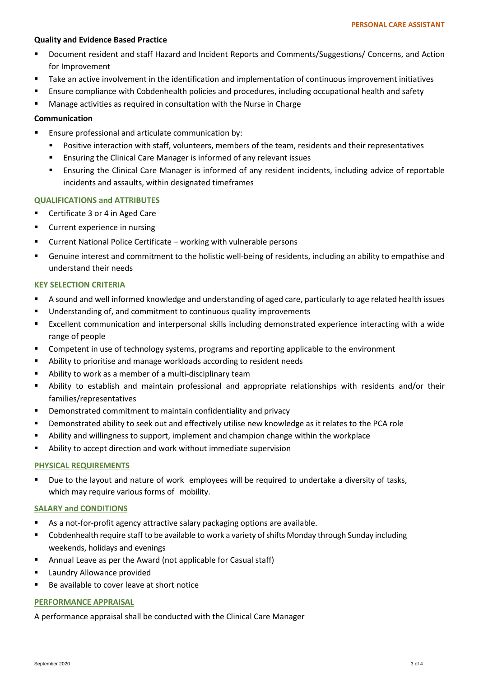## **Quality and Evidence Based Practice**

- Document resident and staff Hazard and Incident Reports and Comments/Suggestions/ Concerns, and Action for Improvement
- Take an active involvement in the identification and implementation of continuous improvement initiatives
- Ensure compliance with Cobdenhealth policies and procedures, including occupational health and safety
- Manage activities as required in consultation with the Nurse in Charge

## **Communication**

- **Ensure professional and articulate communication by:** 
	- Positive interaction with staff, volunteers, members of the team, residents and their representatives
	- **Ensuring the Clinical Care Manager is informed of any relevant issues**
	- Ensuring the Clinical Care Manager is informed of any resident incidents, including advice of reportable incidents and assaults, within designated timeframes

# **QUALIFICATIONS and ATTRIBUTES**

- Certificate 3 or 4 in Aged Care
- **•** Current experience in nursing
- Current National Police Certificate working with vulnerable persons
- Genuine interest and commitment to the holistic well-being of residents, including an ability to empathise and understand their needs

# **KEY SELECTION CRITERIA**

- A sound and well informed knowledge and understanding of aged care, particularly to age related health issues
- **Understanding of, and commitment to continuous quality improvements**
- Excellent communication and interpersonal skills including demonstrated experience interacting with a wide range of people
- Competent in use of technology systems, programs and reporting applicable to the environment
- Ability to prioritise and manage workloads according to resident needs
- Ability to work as a member of a multi-disciplinary team
- Ability to establish and maintain professional and appropriate relationships with residents and/or their families/representatives
- Demonstrated commitment to maintain confidentiality and privacy
- Demonstrated ability to seek out and effectively utilise new knowledge as it relates to the PCA role
- Ability and willingness to support, implement and champion change within the workplace
- Ability to accept direction and work without immediate supervision

## **PHYSICAL REQUIREMENTS**

Due to the layout and nature of work employees will be required to undertake a diversity of tasks, which may require various forms of mobility.

## **SALARY and CONDITIONS**

- As a not-for-profit agency attractive salary packaging options are available.
- Cobdenhealth require staff to be available to work a variety of shifts Monday through Sunday including weekends, holidays and evenings
- Annual Leave as per the Award (not applicable for Casual staff)
- **E** Laundry Allowance provided
- Be available to cover leave at short notice

## **PERFORMANCE APPRAISAL**

A performance appraisal shall be conducted with the Clinical Care Manager